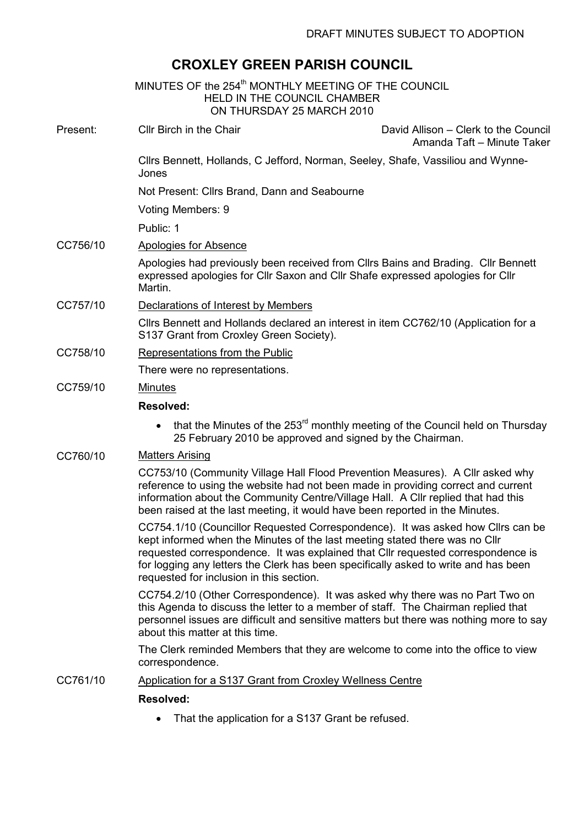# CROXLEY GREEN PARISH COUNCIL

|          | MINUTES OF the 254 <sup>th</sup> MONTHLY MEETING OF THE COUNCIL<br><b>HELD IN THE COUNCIL CHAMBER</b><br>ON THURSDAY 25 MARCH 2010                                                                                                                                                                                                                                                    |                                                                    |
|----------|---------------------------------------------------------------------------------------------------------------------------------------------------------------------------------------------------------------------------------------------------------------------------------------------------------------------------------------------------------------------------------------|--------------------------------------------------------------------|
| Present: | Cllr Birch in the Chair                                                                                                                                                                                                                                                                                                                                                               | David Allison – Clerk to the Council<br>Amanda Taft - Minute Taker |
|          | Cllrs Bennett, Hollands, C Jefford, Norman, Seeley, Shafe, Vassiliou and Wynne-<br>Jones                                                                                                                                                                                                                                                                                              |                                                                    |
|          | Not Present: Cllrs Brand, Dann and Seabourne                                                                                                                                                                                                                                                                                                                                          |                                                                    |
|          | Voting Members: 9                                                                                                                                                                                                                                                                                                                                                                     |                                                                    |
|          | Public: 1                                                                                                                                                                                                                                                                                                                                                                             |                                                                    |
| CC756/10 | Apologies for Absence                                                                                                                                                                                                                                                                                                                                                                 |                                                                    |
|          | Apologies had previously been received from Cllrs Bains and Brading. Cllr Bennett<br>expressed apologies for Cllr Saxon and Cllr Shafe expressed apologies for Cllr<br>Martin.                                                                                                                                                                                                        |                                                                    |
| CC757/10 | Declarations of Interest by Members                                                                                                                                                                                                                                                                                                                                                   |                                                                    |
|          | Cllrs Bennett and Hollands declared an interest in item CC762/10 (Application for a<br>S137 Grant from Croxley Green Society).                                                                                                                                                                                                                                                        |                                                                    |
| CC758/10 | Representations from the Public                                                                                                                                                                                                                                                                                                                                                       |                                                                    |
|          | There were no representations.                                                                                                                                                                                                                                                                                                                                                        |                                                                    |
| CC759/10 | <b>Minutes</b><br><b>Resolved:</b>                                                                                                                                                                                                                                                                                                                                                    |                                                                    |
|          |                                                                                                                                                                                                                                                                                                                                                                                       |                                                                    |
|          | that the Minutes of the 253 <sup>rd</sup> monthly meeting of the Council held on Thursday<br>$\bullet$<br>25 February 2010 be approved and signed by the Chairman.                                                                                                                                                                                                                    |                                                                    |
| CC760/10 | <b>Matters Arising</b>                                                                                                                                                                                                                                                                                                                                                                |                                                                    |
|          | CC753/10 (Community Village Hall Flood Prevention Measures). A Cllr asked why<br>reference to using the website had not been made in providing correct and current<br>information about the Community Centre/Village Hall. A Cllr replied that had this<br>been raised at the last meeting, it would have been reported in the Minutes.                                               |                                                                    |
|          | CC754.1/10 (Councillor Requested Correspondence). It was asked how Cllrs can be<br>kept informed when the Minutes of the last meeting stated there was no Cllr<br>requested correspondence. It was explained that Cllr requested correspondence is<br>for logging any letters the Clerk has been specifically asked to write and has been<br>requested for inclusion in this section. |                                                                    |
|          | CC754.2/10 (Other Correspondence). It was asked why there was no Part Two on<br>this Agenda to discuss the letter to a member of staff. The Chairman replied that<br>personnel issues are difficult and sensitive matters but there was nothing more to say<br>about this matter at this time.                                                                                        |                                                                    |
|          | The Clerk reminded Members that they are welcome to come into the office to view<br>correspondence.                                                                                                                                                                                                                                                                                   |                                                                    |
| CC761/10 | Application for a S137 Grant from Croxley Wellness Centre                                                                                                                                                                                                                                                                                                                             |                                                                    |
|          | <b>Resolved:</b>                                                                                                                                                                                                                                                                                                                                                                      |                                                                    |
|          | That the application for a S137 Grant be refused.<br>$\bullet$                                                                                                                                                                                                                                                                                                                        |                                                                    |